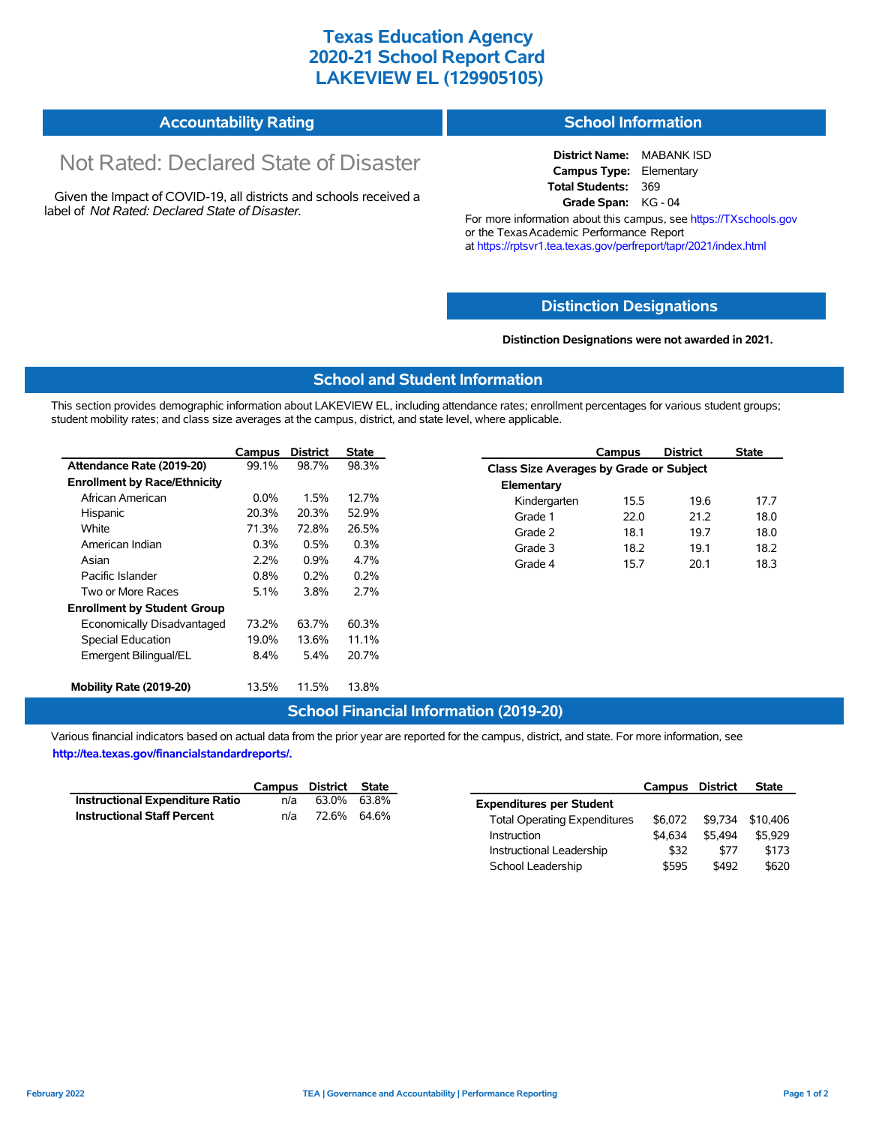### **Texas Education Agency 2020-21 School Report Card LAKEVIEW EL (129905105)**

# **Accountability Rating**

# Not Rated: Declared State of Disaster

Given the Impact of COVID-19, all districts and schools received a label of *Not Rated: Declared State of Disaster.*

#### **School Information**

**District Name:** MABANK ISD **Campus Type:** Elementary **Total Students:** 369 **Grade Span:** KG - 04

For more information about this campus, see https://TXschools.gov or the Texas Academic Performance Report at https://rptsvr1.tea.texas.gov/perfreport/tapr/2021/index.html

#### **Distinction Designations**

**Distinction Designations were not awarded in 2021.**

School Leadership  $$595$  \$492 \$620

#### **School and Student Information**

This section provides demographic information about LAKEVIEW EL, including attendance rates; enrollment percentages for various student groups; student mobility rates; and class size averages at the campus, district, and state level, where applicable.

|                                     | Campus  | <b>District</b> | State |              | Campus                                  | <b>District</b> | <b>State</b> |  |  |
|-------------------------------------|---------|-----------------|-------|--------------|-----------------------------------------|-----------------|--------------|--|--|
| Attendance Rate (2019-20)           | 99.1%   | 98.7%           | 98.3% |              | Class Size Averages by Grade or Subject |                 |              |  |  |
| <b>Enrollment by Race/Ethnicity</b> |         |                 |       | Elementary   |                                         |                 |              |  |  |
| African American                    | $0.0\%$ | 1.5%            | 12.7% | Kindergarten | 15.5                                    | 19.6            | 17.7         |  |  |
| Hispanic                            | 20.3%   | 20.3%           | 52.9% | Grade 1      | 22.0                                    | 21.2            | 18.0         |  |  |
| White                               | 71.3%   | 72.8%           | 26.5% | Grade 2      | 18.1                                    | 19.7            | 18.0         |  |  |
| American Indian                     | 0.3%    | 0.5%            | 0.3%  | Grade 3      | 18.2                                    | 19.1            | 18.2         |  |  |
| Asian                               | 2.2%    | 0.9%            | 4.7%  | Grade 4      | 15.7                                    | 20.1            | 18.3         |  |  |
| Pacific Islander                    | 0.8%    | 0.2%            | 0.2%  |              |                                         |                 |              |  |  |
| Two or More Races                   | $5.1\%$ | 3.8%            | 2.7%  |              |                                         |                 |              |  |  |
| <b>Enrollment by Student Group</b>  |         |                 |       |              |                                         |                 |              |  |  |
| Economically Disadvantaged          | 73.2%   | 63.7%           | 60.3% |              |                                         |                 |              |  |  |
| Special Education                   | 19.0%   | 13.6%           | 11.1% |              |                                         |                 |              |  |  |
| Emergent Bilingual/EL               | 8.4%    | 5.4%            | 20.7% |              |                                         |                 |              |  |  |
|                                     |         |                 |       |              |                                         |                 |              |  |  |
| Mobility Rate (2019-20)             | 13.5%   | 11.5%           | 13.8% |              |                                         |                 |              |  |  |

#### **School Financial Information (2019-20)**

Various financial indicators based on actual data from the prior year are reported for the campus, district, and state. For more information, see

**http://tea.texas.gov/financialstandardreports/.**

|                                    | Campus | District | State |                                     | Campus  | <b>District</b> | <b>State</b>     |
|------------------------------------|--------|----------|-------|-------------------------------------|---------|-----------------|------------------|
| Instructional Expenditure Ratio    | n/a    | 63.0%    | 63.8% | <b>Expenditures per Student</b>     |         |                 |                  |
| <b>Instructional Staff Percent</b> | n/a    | 72.6%    | 64.6% | <b>Total Operating Expenditures</b> | \$6.072 |                 | \$9,734 \$10,406 |
|                                    |        |          |       | Instruction                         | \$4.634 | \$5.494         | \$5.929          |
|                                    |        |          |       | Instructional Leadership            | \$32    | \$77            | \$173            |